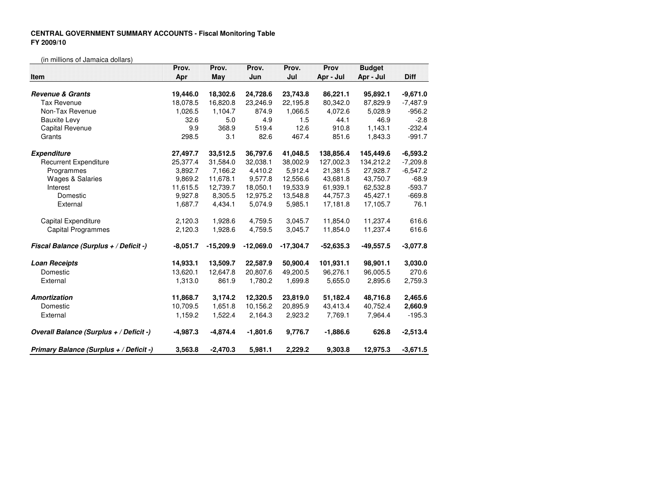## **CENTRAL GOVERNMENT SUMMARY ACCOUNTS - Fiscal Monitoring TableFY 2009/10**

(in millions of Jamaica dollars)

|                                         | Prov.      | Prov.       | Prov.       | Prov.       | Prov        | <b>Budget</b> |             |
|-----------------------------------------|------------|-------------|-------------|-------------|-------------|---------------|-------------|
| <b>Item</b>                             | Apr        | May         | Jun         | $J$ ul      | Apr - Jul   | Apr - Jul     | <b>Diff</b> |
| <b>Revenue &amp; Grants</b>             | 19,446.0   | 18,302.6    | 24,728.6    | 23,743.8    | 86,221.1    | 95,892.1      | $-9,671.0$  |
| <b>Tax Revenue</b>                      | 18,078.5   | 16.820.8    | 23,246.9    | 22.195.8    | 80.342.0    | 87,829.9      | $-7,487.9$  |
| Non-Tax Revenue                         | 1,026.5    | 1,104.7     | 874.9       | 1,066.5     | 4,072.6     | 5,028.9       | $-956.2$    |
| <b>Bauxite Levy</b>                     | 32.6       | 5.0         | 4.9         | 1.5         | 44.1        | 46.9          | $-2.8$      |
| Capital Revenue                         | 9.9        | 368.9       | 519.4       | 12.6        | 910.8       | 1,143.1       | $-232.4$    |
| Grants                                  | 298.5      | 3.1         | 82.6        | 467.4       | 851.6       | 1,843.3       | $-991.7$    |
| <b>Expenditure</b>                      | 27,497.7   | 33,512.5    | 36,797.6    | 41,048.5    | 138,856.4   | 145,449.6     | $-6,593.2$  |
| <b>Recurrent Expenditure</b>            | 25,377.4   | 31,584.0    | 32.038.1    | 38,002.9    | 127,002.3   | 134.212.2     | $-7,209.8$  |
| Programmes                              | 3,892.7    | 7,166.2     | 4,410.2     | 5,912.4     | 21,381.5    | 27,928.7      | $-6,547.2$  |
| <b>Wages &amp; Salaries</b>             | 9,869.2    | 11,678.1    | 9,577.8     | 12,556.6    | 43,681.8    | 43,750.7      | $-68.9$     |
| Interest                                | 11,615.5   | 12,739.7    | 18,050.1    | 19,533.9    | 61,939.1    | 62,532.8      | $-593.7$    |
| Domestic                                | 9,927.8    | 8,305.5     | 12,975.2    | 13,548.8    | 44,757.3    | 45,427.1      | $-669.8$    |
| External                                | 1,687.7    | 4,434.1     | 5,074.9     | 5,985.1     | 17,181.8    | 17,105.7      | 76.1        |
| Capital Expenditure                     | 2,120.3    | 1,928.6     | 4,759.5     | 3,045.7     | 11,854.0    | 11,237.4      | 616.6       |
| <b>Capital Programmes</b>               | 2,120.3    | 1,928.6     | 4,759.5     | 3,045.7     | 11,854.0    | 11,237.4      | 616.6       |
| Fiscal Balance (Surplus + / Deficit -)  | $-8,051.7$ | $-15,209.9$ | $-12,069.0$ | $-17,304.7$ | $-52,635.3$ | $-49,557.5$   | $-3.077.8$  |
| <b>Loan Receipts</b>                    | 14,933.1   | 13,509.7    | 22,587.9    | 50,900.4    | 101,931.1   | 98,901.1      | 3,030.0     |
| Domestic                                | 13,620.1   | 12.647.8    | 20,807.6    | 49,200.5    | 96,276.1    | 96,005.5      | 270.6       |
| External                                | 1,313.0    | 861.9       | 1,780.2     | 1,699.8     | 5,655.0     | 2,895.6       | 2,759.3     |
| Amortization                            | 11,868.7   | 3,174.2     | 12,320.5    | 23,819.0    | 51,182.4    | 48,716.8      | 2,465.6     |
| Domestic                                | 10,709.5   | 1,651.8     | 10,156.2    | 20,895.9    | 43,413.4    | 40,752.4      | 2,660.9     |
| External                                | 1,159.2    | 1,522.4     | 2,164.3     | 2,923.2     | 7,769.1     | 7,964.4       | $-195.3$    |
| Overall Balance (Surplus + / Deficit -) | $-4,987.3$ | $-4,874.4$  | $-1,801.6$  | 9,776.7     | $-1,886.6$  | 626.8         | $-2,513.4$  |
| Primary Balance (Surplus + / Deficit -) | 3,563.8    | $-2,470.3$  | 5,981.1     | 2,229.2     | 9,303.8     | 12,975.3      | $-3,671.5$  |